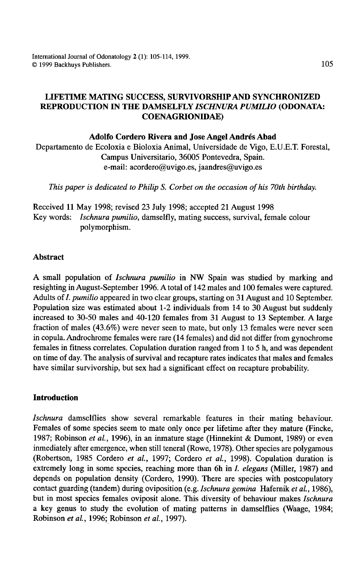International Journal of Odonatology 2 (1): 105-114, 1999. © 1999 Backhuys Publishers. 105

# LIFETIME MATING SUCCESS, SURVIVORSHIP AND SYNCHRONIZED REPRODUCTION IN THE DAMSELFLY *ISCHNURA PUMILIO* (ODONATA: COENAGRIONIDAE)

#### Adolfo Cordero Rivera and Jose Angel Andres Abad

Departamento de Ecoloxia e Bioloxia Animal, Universidade de Vigo, E.U.E.T. Forestal, Campus Universitario, 36005 Pontevedra, Spain. e-mail: acordero@uvigo.es, jaandres@uvigo.es

*This paper is dedicated to Philip S. Corbet on the occasion of his 70th birthday.* 

Received 11 May 1998; revised 23 July 1998; accepted 21 August 1998 Key words: *Ischnura pumilio,* damselfly, mating success, survival, female colour polymorphism.

## Abstract

A small population of *Ischnura pumilio* in NW Spain was studied by marking and resighting in August-September 1996. A total of 142 males and 100 females were captured. Adults of *I. pumilio* appeared in two clear groups, starting on 31 August and 10 September. Population size was estimated about 1-2 individuals from 14 to 30 August but suddenly increased to 30-50 males and 40-120 females from 31 August to 13 September. A large fraction of males (43.6%) were never seen to mate, but only 13 females were never seen in copula. Androchrome females were rare (14 females) and did not differ from gynochrome females in fitness correlates. Copulation duration ranged from 1 to 5 h, and was dependent on time of day. The analysis of survival and recapture rates indicates that males and females have similar survivorship, but sex had a significant effect on recapture probability.

## Introduction

*Ischnura* damselflies show several remarkable features in their mating behaviour. Females of some species seem to mate only once per lifetime after they mature (Fincke, 1987; Robinson *et al.,* 1996), in an inmature stage (Hinnekint & Dumont, 1989) or even inmediately after emergence, when still teneral (Rowe, 1978). Other species are polygamous (Robertson, 1985 Cordero *et al.,* 1997; Cordero *et al.,* 1998). Copulation duration is extremely long in some species, reaching more than 6h in I. *elegans* (Miller, 1987) and depends on population density (Cordero, 1990). There are species with postcopulatory contact guarding (tandem) during oviposition (e.g. *Ischnura gemina* Hafernik *et al.,* 1986), but in most species females oviposit alone. This diversity of behaviour makes *Ischnura*  a key genus to study the evolution of mating patterns in damselflies (Waage, 1984; Robinson *et al.,* 1996;Robinson *et al.,* 1997).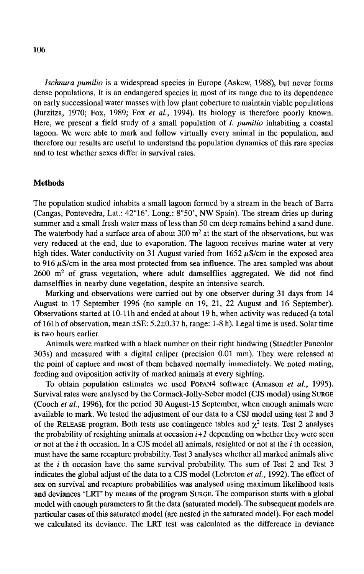*Jschnura pumilio* is a widespread species in Europe (Askew, 1988), but never forms dense populations. It is an endangered species in most of its range due to its dependence on early successional water masses with low plant coberture to maintain viable populations (Jurzitza, 1970; Fox, 1989; Fox *et al.,* 1994). Its biology is therefore poorly known. Here, we present a field study of a small population of I. *pumilio* inhabiting a coastal lagoon. We were able to mark and follow virtually every animal in the population, and therefore our results are useful to understand the population dynamics of this rare species and to test whether sexes differ in survival rates.

### **Methods**

The population studied inhabits a small lagoon formed by a stream in the beach of Barra (Cangas, Pontevedra, Lat.: 42°16'. Long.: 8°50', NW Spain). The stream dries up during summer and a small fresh water mass of less than 50 cm deep remains behind a sand dune. The waterbody had a surface area of about  $300 \text{ m}^2$  at the start of the observations, but was very reduced at the end, due to evaporation. The lagoon receives marine water at very high tides. Water conductivity on 31 August varied from  $1652 \mu S/cm$  in the exposed area to 916  $\mu$ S/cm in the area most protected from sea influence. The area sampled was about  $2600 \text{ m}^2$  of grass vegetation, where adult damselflies aggregated. We did not find damselflies in nearby dune vegetation, despite an intensive search.

Marking and observations were carried out by one observer during 31 days from 14 August to 17 September 1996 (no sample on 19, 21, 22 August and 16 September). Observations started at 10-llh and ended at about 19 h, when activity was reduced (a total of 161h of observation, mean ±SE: 5.2±0.37 h, range: 1-8 h). Legal time is used. Solar time is two hours earlier.

Animals were marked with a black number on their right hindwing (Staedtler Pancolor 303s) and measured with a digital caliper (precision 0.01 mm). They were released at the point of capture and most of them behaved normally immediately. We noted mating, feeding and oviposition activity of marked animals at every sighting.

To obtain population estimates we used PoPAN4 software (Amason *et al.,* 1995). Survival rates were analysed by the Cormack-Jolly-Seber model (CJS model) using SURGE (Cooch *et al.,* 1996), for the period 30 August-15 September, when enough animals were available to mark. We tested the adjustment of our data to a CSJ model using test 2 and 3 of the RELEASE program. Both tests use contingence tables and  $\chi^2$  tests. Test 2 analyses the probability of resighting animals at occasion  $i+1$  depending on whether they were seen or not at the  $i$  th occasion. In a CJS model all animals, resighted or not at the  $i$  th occasion, must have the same recapture probability. Test 3 analyses whether all marked animals alive at the  $i$  th occasion have the same survival probability. The sum of Test 2 and Test 3 indicates the global adjust of the data to a CJS model (Lebreton *et al.,* 1992). The effect of sex on survival and recapture probabilities was analysed using maximum likelihood tests and deviances 'LRT' by means of the program SURGE. The comparison starts with a global model with enough parameters to fit the data (saturated model). The subsequent models are particular cases of this saturated model (are nested in the saturated model). For each model we calculated its deviance. The LRT test was calculated as the difference in deviance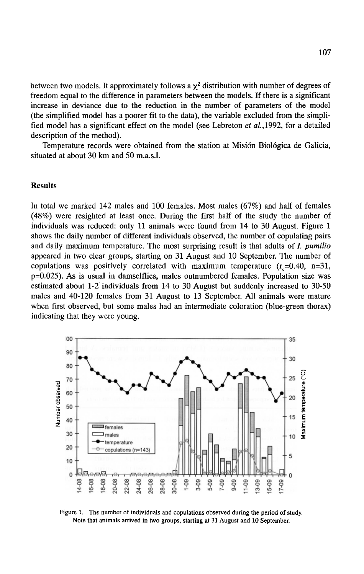between two models. It approximately follows a  $\chi^2$  distribution with number of degrees of freedom equal to the difference in parameters between the models. If there is a significant increase in deviance due to the reduction in the number of parameters of the model (the simplified model has a poorer fit to the data), the variable excluded from the simplified model has a significant effect on the model (see Lebreton *et* a/.,1992, for a detailed description of the method).

Temperature records were obtained from the station at Misión Biológica de Galicia, situated at about 30 km and 50 m.a.s.l.

## Results

In total we marked 142 males and 100 females. Most males (67%) and half of females ( 48%) were resighted at least once. During the first half of the study the number of individuals was reduced: only 11 animals were found from 14 to 30 August. Figure 1 shows the daily number of different individuals observed, the number of copulating pairs and daily maximum temperature. The most surprising result is that adults of *I. pumilio* appeared in two clear groups, starting on 31 August and 10 September. The number of copulations was positively correlated with maximum temperature  $(r_s=0.40, n=31,$ p=0.025). As is usual in damselflies, males outnumbered females. Population size was estimated about 1-2 individuals from 14 to 30 August but suddenly increased to 30-50 males and 40-120 females from 31 August to 13 September. All animals were mature when first observed, but some males had an intermediate coloration (blue-green thorax) indicating that they were young.



Figure 1. The number of individuals and copulations observed during the period of study. Note that animals arrived in two groups, starting at 31 August and 10 September.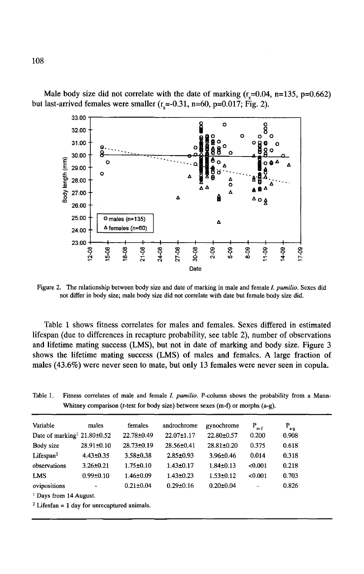

Male body size did not correlate with the date of marking  $(r_{\rm s}=0.04, n=135, p=0.662)$ but last-arrived females were smaller  $(r_s=0.31, n=60, p=0.017; Fig. 2)$ .

Figure 2. The relationship between body size and date of marking in male and female /. *pumilio.* Sexes did not differ in body size; male body size did not correlate with date but female body size did.

Table 1 shows fitness correlates for males and females. Sexes differed in estimated lifespan (due to differences in recapture probability, see table 2), number of observations and lifetime mating success (LMS), but not in date of marking and body size. Figure 3 shows the lifetime mating success (LMS) of males and females. A large fraction of males (43.6%) were never seen to mate, but only 13 females were never seen in copula.

Table 1. Fitness correlates of male and female /. *pumilio.* P-column shows the probability from a Mann-Whitney comparison (t-test for body size) between sexes (m-f) or morphs (a-g).

| Variable                                      | males            | females          | androchrome      | gynochrome       | $P_{m-f}$             | $P_{a-g}$ |
|-----------------------------------------------|------------------|------------------|------------------|------------------|-----------------------|-----------|
| Date of marking <sup>1</sup> 21.80 $\pm$ 0.52 |                  | 22.78±0.49       | $22.07 \pm 1.17$ | 22.80±0.57       | 0.200                 | 0.908     |
| Body size                                     | $28.91 \pm 0.10$ | $28.73 \pm 0.19$ | $28.56 \pm 0.41$ | $28.81 \pm 0.20$ | 0.375                 | 0.618     |
| Lifespan <sup>2</sup>                         | $4.43 \pm 0.35$  | $3.58 \pm 0.38$  | $2.85 \pm 0.93$  | $3.96 \pm 0.46$  | 0.014                 | 0.318     |
| observations                                  | $3.26 \pm 0.21$  | $1.75 \pm 0.10$  | $1.43 \pm 0.17$  | $1.84 \pm 0.13$  | < 0.001               | 0.218     |
| <b>LMS</b>                                    | $0.99 \pm 0.10$  | $1.46 \pm 0.09$  | $1.43 \pm 0.23$  | $1.53 \pm 0.12$  | < 0.001               | 0.703     |
| ovipositions                                  | ۰                | $0.21 \pm 0.04$  | $0.29 \pm 0.16$  | $0.20 \pm 0.04$  | $\tilde{\phantom{a}}$ | 0.826     |
| <sup>1</sup> Days from 14 August.             |                  |                  |                  |                  |                       |           |

 $2$  Lifesfan = 1 day for unrecaptured animals.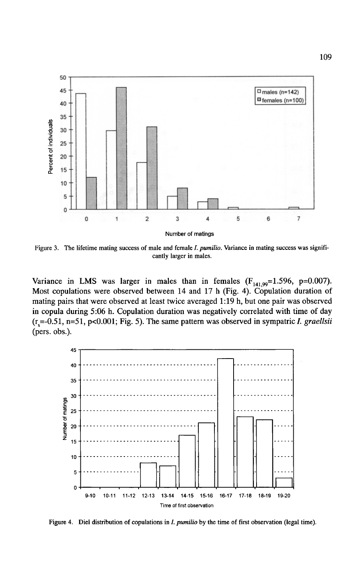

Figure 3. The lifetime mating success of male and female I. *pumilio.* Variance in mating success was significantly larger in males.

Variance in LMS was larger in males than in females  $(F_{141.99}=1.596, p=0.007)$ . Most copulations were observed between 14 and 17 h (Fig. 4). Copulation duration of mating pairs that were observed at least twice averaged 1:19 h, but one pair was observed in copula during 5:06 h. Copulation duration was negatively correlated with time of day  $(r_s = 0.51, n = 51, p < 0.001; Fig. 5)$ . The same pattern was observed in sympatric *I. graellsii* (pers. obs.).



Figure 4. Diel distribution of copulations in *I. pumilio* by the time of first observation (legal time).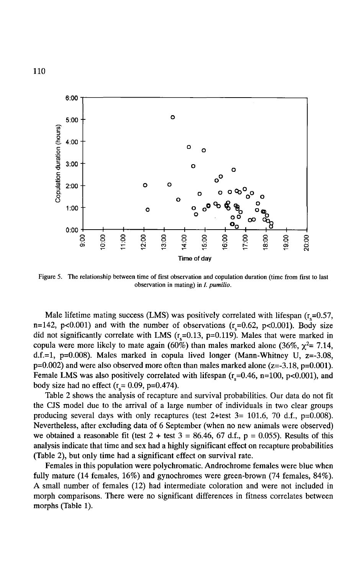

Figure 5. The relationship between time of first observation and copulation duration (time from first to last observation in mating) in *I. pumilio.* 

Male lifetime mating success (LMS) was positively correlated with lifespan  $(r_s=0.57,$ n=142, p<0.001) and with the number of observations  $(r_s=0.62, p<0.001)$ . Body size did not significantly correlate with LMS  $(r_s=0.13, p=0.119)$ . Males that were marked in copula were more likely to mate again (60%) than males marked alone (36%,  $\chi^2$  = 7.14, d.f.=1,  $p=0.008$ ). Males marked in copula lived longer (Mann-Whitney U,  $z=-3.08$ ,  $p=0.002$ ) and were also observed more often than males marked alone ( $z=-3.18$ ,  $p=0.001$ ). Female LMS was also positively correlated with lifespan  $(r_s=0.46, n=100, p<0.001)$ , and body size had no effect  $(r<sub>s</sub> = 0.09, p=0.474)$ .

Table 2 shows the analysis of recapture and survival probabilities. Our data do not fit the CJS model due to the arrival of a large number of individuals in two clear groups producing several days with only recaptures (test 2+test  $3=101.6$ , 70 d.f., p=0.008). Nevertheless, after excluding data of 6 September (when no new animals were observed) we obtained a reasonable fit (test  $2 + \text{test } 3 = 86.46, 67 \text{ d.f., } p = 0.055$ ). Results of this analysis indicate that time and sex had a highly significant effect on recapture probabilities (Table 2), but only time had a significant effect on survival rate.

Females in this population were polychromatic. Androchrome females were blue when fully mature (14 females, 16%) and gynochromes were green-brown (74 females, 84%). A small number of females (12) had intermediate coloration and were not included in morph comparisons. There were no significant differences in fitness correlates between morphs (Table 1).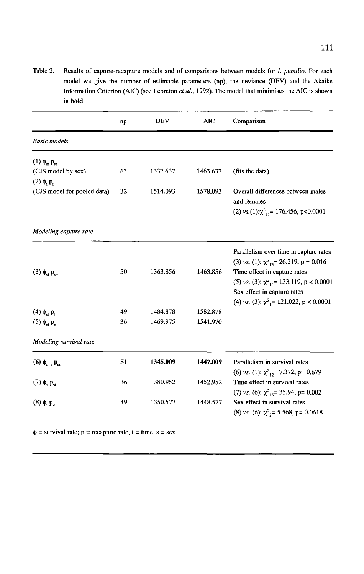Table 2. Results of capture-recapture models and of comparisons between models for /. *pumilio.* For each model we give the number of estimable parameters (np), the deviance (DEY) and the Akaike Information Criterion (AIC) (see Lebreton *et al.*, 1992). The model that minimises the AIC is shown in **bold.** 

|                                    | np | <b>DEV</b> | AIC      | Comparison                                               |
|------------------------------------|----|------------|----------|----------------------------------------------------------|
| <b>Basic</b> models                |    |            |          |                                                          |
| $(1)$ $\phi_{st}$ $p_{st}$         |    |            |          |                                                          |
| (CJS model by sex)                 | 63 | 1337.637   | 1463.637 | (fits the data)                                          |
| $(2)$ $\phi$ , $p$ ,               |    |            |          |                                                          |
| (CJS model for pooled data)        | 32 | 1514.093   | 1578.093 | Overall differences between males                        |
|                                    |    |            |          | and females                                              |
|                                    |    |            |          | (2) vs.(1): $\chi^2_{31}$ = 176.456, p<0.0001            |
| Modeling capture rate              |    |            |          |                                                          |
|                                    |    |            |          | Parallelism over time in capture rates                   |
|                                    |    |            |          | (3) vs. (1): $\chi^2_{13}$ = 26.219, p = 0.016           |
| $(3)$ $\phi_{st}$ $p_{s+t}$        | 50 | 1363.856   | 1463.856 | Time effect in capture rates                             |
|                                    |    |            |          | (5) vs. (3): $\chi^2_{14}$ = 133.119, p < 0.0001         |
|                                    |    |            |          | Sex effect in capture rates                              |
|                                    |    |            |          | (4) vs. (3): $\chi^2$ <sub>1</sub> = 121.022, p < 0.0001 |
| $(4)$ $\phi_{st}$ p,               | 49 | 1484.878   | 1582.878 |                                                          |
| $(5)$ $\phi_{\rm st}$ $p_{\rm s}$  | 36 | 1469.975   | 1541.970 |                                                          |
| Modeling survival rate             |    |            |          |                                                          |
| (6) $\phi_{s+t}$ $\mathbf{p}_{st}$ | 51 | 1345.009   | 1447.009 | Parallelism in survival rates                            |
|                                    |    |            |          | (6) vs. (1): $\chi^2_{12}$ = 7.372, p = 0.679            |
| $(7)$ $\phi_{e}$ $p_{e}$           | 36 | 1380.952   | 1452.952 | Time effect in survival rates                            |
|                                    |    |            |          | (7) vs. (6): $\chi^2_{15}$ = 35.94, p= 0.002             |
| $(8)$ $\phi$ , $p$ <sub>st</sub>   | 49 | 1350.577   | 1448.577 | Sex effect in survival rates                             |
|                                    |    |            |          | (8) vs. (6): $\chi^2$ <sub>2</sub> = 5.568, p = 0.0618   |
|                                    |    |            |          |                                                          |

 $\phi$  = survival rate; p = recapture rate, t = time, s = sex.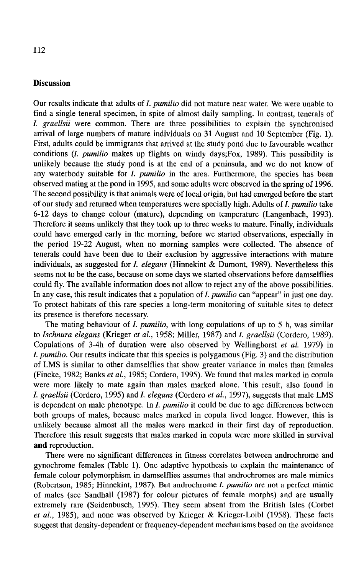#### **Discussion**

Our results indicate that adults of *I. pumilio* did not mature near water. We were unable to find a single teneral specimen, in spite of almost daily sampling. In contrast, tenerals of *I. graellsii* were common. There are three possibilities to explain the synchronised arrival of large numbers of mature individuals on 31 August and 10 September (Fig. 1). First, adults could be immigrants that arrived at the study pond due to favourable weather conditions *(I. pumilio* makes up flights on windy days;Fox, 1989). This possibility is unlikely because the study pond is at the end of a peninsula, and we do not know of any waterbody suitable for *I. pumilio* in the area. Furthermore, the species has been observed mating at the pond in 1995, and some adults were observed in the spring of 1996. The second possibility is that animals were of local origin, but had emerged before the start of our study and returned when temperatures were specially high. Adults of *I. pumilio* take 6-12 days to change colour (mature), depending on temperature (Langenbach, 1993). Therefore it seems unlikely that they took up to three weeks to mature. Finally, individuals could have emerged early in the morning, before we started observations, especially in the period 19-22 August, when no morning samples were collected. The absence of tenerals could have been due to their exclusion by aggressive interactions with mature individuals, as suggested for I. *elegans* (Hinnekint & Dumont, 1989). Nevertheless this seems not to be the case, because on some days we started observations before damselflies could fly. The available information does not allow to reject any of the above possibilities. In any case, this result indicates that a population of *I. pumilio* can "appear" in just one day. To protect habitats of this rare species a long-term monitoring of suitable sites to detect its presence is therefore necessary.

The mating behaviour of *I. pumilio,* with long copulations of up to 5 h, was similar to *Ischnura elegans* (Krieger *et al.,* 1958; Miller, 1987) and *I. graellsii* (Cordero, 1989). Copulations of 3-4h of duration were also observed by Wellinghorst *et al.* 1979) in I. *pumilio.* Our results indicate that this species is polygamous (Fig. 3) and the distribution of LMS is similar to other damselflies that show greater variance in males than females (Fincke, 1982; Banks *et al.,* 1985; Cordero, 1995). We found that males marked in copula were more likely to mate again than males marked alone. This result, also found in I. *graellsii* (Cordero, 1995) and *I. elegans* (Cordero *et al.,* 1997), suggests that male LMS is dependent on male phenotype. In *I. pumilio* it could be due to age differences between both groups of males, because males marked in copula lived longer. However, this is unlikely because almost all the males were marked in their first day of reproduction. Therefore this result suggests that males marked in copula were more skilled in survival **and** reproduction.

There were no significant differences in fitness correlates between androchrome and gynochrome females (Table 1). One adaptive hypothesis to explain the maintenance of female colour polymorphism in damselflies assumes that androchromes are male mimics (Robertson, 1985; Hinnekint, 1987). But androchrome /. *pumilio* are not a perfect mimic of males (see Sandhall (1987) for colour pictures of female morphs) and are usually extremely rare (Seidenbusch, 1995). They seem absent from the British Isles (Corbet *et al.,* 1985), and none was observed by Krieger & Krieger-Loibl (1958). These facts suggest that density-dependent or frequency-dependent mechanisms based on the avoidance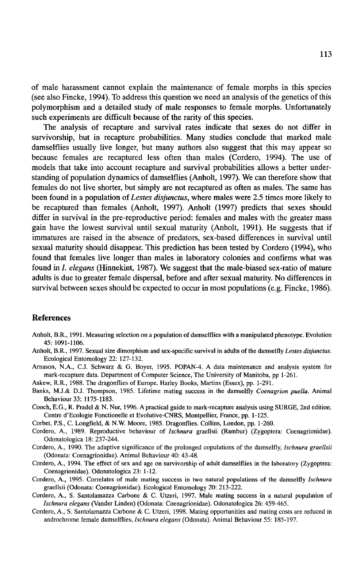of male harassment cannot explain the maintenance of female morphs in this species (see also Fincke, 1994). To address this question we need an analysis of the genetics of this polymorphism and a detailed study of male responses to female morphs. Unfortunately such experiments are difficult because of the rarity of this species.

The analysis of recapture and survival rates indicate that sexes do not differ in survivorship, but in recapture probabilities. Many studies conclude that marked male damselflies usually live longer, but many authors also suggest that this may appear so because females are recaptured less often than males (Cordero, 1994). The use of models that take into account recapture and survival probabilities allows a better understanding of population dynamics of damselflies (Anholt, 1997). We can therefore show that females do not live shorter, but simply are not recaptured as often as males. The same has been found in a population of *Lestes disjunctus,* where males were 2.5 times more likely to be recaptured than females (Anholt, 1997). Anholt (1997) predicts that sexes should differ in survival in the pre-reproductive period: females and males with the greater mass gain have the lowest survival until sexual maturity (Anholt, 1991). He suggests that if immatures are raised in the absence of predators, sex-based differences in survival until sexual maturity should disappear. This prediction has been tested by Cordero (1994), who found that females live longer than males in laboratory colonies and confirms what was found in I. *elegans* (Hinnekint, 1987). We suggest that the male-biased sex-ratio of mature adults is due to greater female dispersal, before and after sexual maturity. No differences in survival between sexes should be expected to occur in most populations (e.g. Fincke, 1986).

#### **References**

- Anholt, B.R., 1991. Measuring selection on a population of damselflies with a manipulated phenotype. Evolution 45: 1091-1106.
- Anholt, B.R., 1997. Sexual size dimorphism and sex-specific survival in adults of the damselfly *Lestes disjunctus.*  Ecological Entomology 22: 127-132.
- Amason, N.A., C.J. Schwarz & G. Boyer, 1995. POPAN-4. A data maintenance and analysis system for mark-recapture data. Department of Computer Science, The University of Manitoba, pp 1-261.

Askew, R.R., 1988. The dragonflies of Europe. Harley Books, Martins (Essex), pp. 1-291.

- Banks, M.J.& D.J. Thompson, 1985. Lifetime mating success in the damselfly *Coenagrion puella.* Animal Behaviour 33: 1175-1183.
- Cooch, E.G., R. Pradel & N. Nur, 1996. A practical guide to mark-recapture analysis using SURGE, 2nd edition. Centre d'Ecologie Fonctionelle et Evolutive-CNRS, Montpellier, France, pp. 1-125.

Corbet, P.S., C. Longfield, & N.W. Moore, 1985. Dragonflies. Collins, London, pp. 1-260.

- Cordero, A., 1989. Reproductive behaviour of *Ischnura* graellsii (Rambur) (Zygoptera: Coenagrionidae). Odonatologica 18: 237-244.
- Cordero, A., 1990. The adaptive significance of the prolonged copulations of the damselfly, *Ischnura graellsii* (Odonata: Coenagrionidae). Animal Behaviour 40: 43-48.
- Cordero, A., 1994. The effect of sex and age on survivorship of adult damselflies in the laboratory (Zygoptera: Coenagrionidae). Odonatologica 23: 1-12.
- Cordero, A., 1995. Correlates of male mating success in two natural populations of the damselfly */schnura*  graellsii (Odonata: Coenagrionidae). Ecological Entomology 20: 213-222.
- Cordero, A., S. Santolamazza Carbone & C. Utzeri, 1997. Male mating success in a natural population of *Jschnura elegans* (Vander Linden) (Odonata: Coenagrionidae). Odonatologica 26: 459-465.
- Cordero, A., S. Santolamazza Carbone & C. Utzeri, 1998. Mating opportunities and mating costs are reduced in androchrome female damselflies, *Ischnura e/egans* (Odonata). Animal Behaviour 55: 185-197.